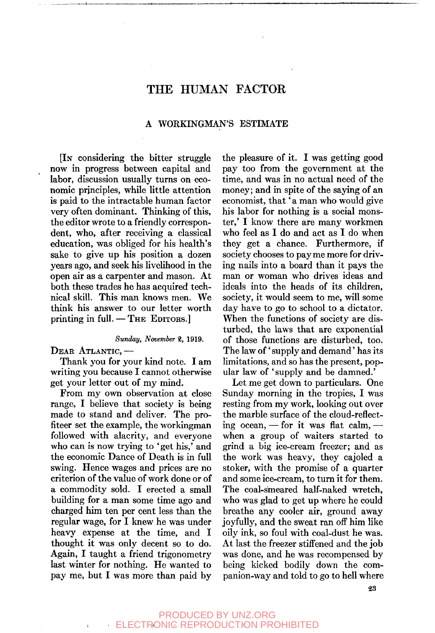# THE HUMAN FACTOR

# A WORKINGMAN'S ESTIMATE

[IN considering the bitter struggle now in progress between capital and labor, discussion usually turns on economic principles, while little attention is paid to the intractable human factor very often dominant. Thinking of this, the editor wrote to a friendly correspondent, who, after receiving a classical education, was obliged for his health's sake to give up his position a dozen years ago, and seek his livelihood in the open air as a carpenter and mason. At both these trades he has acquired technical skill. This man knows men. We think his answer to our letter worth printing in full.  $-$  THE EDITORS.

#### *Sunday, November* 2, 1919.

DEAR ATLANTIC,—

Thank you for your kind note. I am writing you because I cannot otherwise get your letter out of my mind.

From my own observation at close range, I believe that society is being made to stand and deliver. The profiteer set the example, the workingman followed with alacrity, and everyone who can is now trying to 'get his,' and the economic Dance of Death is in full swing. Hence wages and prices are no criterion of the value of work done or of a commodity sold. I erected a small building for a man some time ago and charged him ten per cent less than the regular wage, for I knew he was under heavy expense at the time, and I thought it was only decent so to do. Again, I taught a friend trigonometry last winter for nothing. He wanted to pay me, but I was more than paid by

the pleasure of it. I was getting good pay too from the government at the time, and was in no actual need of the money; and in spite of the saying of an economist, that' a man who would give his labor for nothing is a social monster,' I know there are many workmen who feel as I do and act as I do when they get a chance. Furthermore, if society chooses to pay me more for driving nails into a board than it pays the man or woman who drives ideas and ideals into the heads of its children, society, it would seem to me, will some day have to go to school to a dictator. When the functions of society are disturbed, the laws that are exponential of those functions are disturbed, too. The law of 'supply and demand' has its limitations, and so has the present, popular law of 'supply and be damned.'

Let me get down to particulars. One Sunday morning in the tropics, I was resting from my work, looking out over the marble surface of the cloud-reflecting ocean,  $-$  for it was flat calm,  $$ when a group of waiters started to grind a big ice-cream freezer; and as the work was heavy, they cajoled a stoker, with the promise of a quarter and some ice-cream, to turn it for them. The coal-smeared half-naked wretch, who was glad to get up where he could breathe any cooler air, ground away joyfully, and the sweat ran off him like oily ink, so foul with coal-dust he was. At last the freezer stiffened and the job was done, and he was recompensed by being kicked bodily down the companion-way and told to go to hell where

### PRODUCED BY UNZ.ORG ELECTRONIC REPRODUCTION PROHIBITED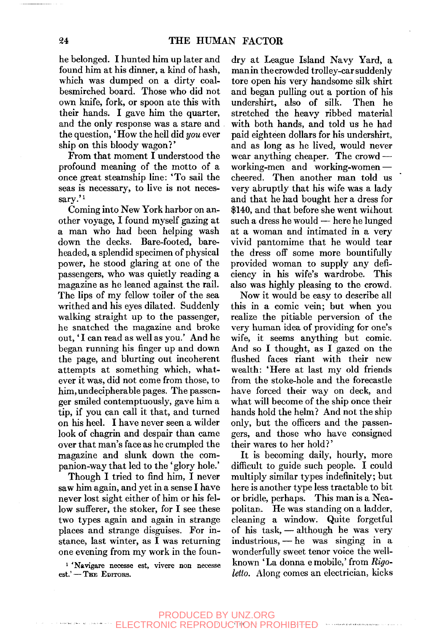he belonged. I hunted him up later and found him at his dinner, a kind of hash, which was dumped on a dirty coalbesmirched board. Those who did not own knife, fork, or spoon ate this with their hands. I gave him the quarter, and the only response was a stare and the question,' How the hell did *you* ever ship on this bloody wagon?'

From that moment I understood the profound meaning of the motto of a once great steamship line: \*To sail the seas is necessary, to live is not necessary.'<sup>1</sup>

Coming into New York harbor on another voyage, I found myself gazing at a man who had been helping wash down the decks. Bare-footed, bareheaded, a splendid specimen of physical power, he stood glaring at one of the passengers, who was quietly reading a magazine as he leaned against the rail. The lips of my fellow toiler of the sea writhed and his eyes dilated. Suddenly walking straight up to the passenger, he snatched the magazine and broke out,' I can read as well as you.' And he began running his finger up and down the page, and blurting out incoherent attempts at something which, whatever it was, did not come from those, to him, undecipherable pages. The passenger smiled contemptuously, gave him a tip, if you can call it that, and turned on his heel. I have never seen a wilder look of chagrin and despair than came over that man's face as he crumpled the magazine and slunk down the companion-way that led to the 'glory hole.'

Though I tried to find him, I never saw him again, and yet in a sense I have never lost sight either of him or his fellow sufferer, the stoker, for I see these two types again and again in strange places and strange disguises. For instance, last winter, as I was returning one evening from my work in the foun-

<sup>1</sup> 'Navigare necesse est, vivere non necesse est.' - THE EDITORS.

dry at League Island Navy Yard, a man in the crowded trolley-car suddenly tore open his very handsome silk shirt and began pulling out a portion of his undershirt, also of silk. Then he stretched the heavy ribbed material with both hands, and told us he had paid eighteen dollars for his undershirt, and as long as he lived, would never wear anything cheaper. The crowd working-men and working-women cheered. Then another man told us very abruptly that his wife was a lady and that he had bought her a dress for \$140, and that before she went without such a dress he would — here he lunged at a woman and intimated in a very vivid pantomime that he would tear the dress off some more bountifully provided woman to supply any deficiency in his wife's wardrobe. This also was highly pleasing to the crowd.

Now it would be easy to describe all this in a comic vein; but when you realize the pitiable perversion of the very human idea of providing for one's wife, it seems anything but comic. And so I thought, as I gazed on the flushed faces riant with their new wealth: 'Here at last my old friends from the stoke-hole and the forecastle have forced their way on deck, and what will become of the ship once their hands hold the helm? And not the ship only, but the officers and the passengers, and those who have consigned their wares to her hold?'

It is becoming daily, hourly, more difficult to guide such people. I could multiply similar types indefinitely; but here is another type less tractable to bit or bridle, perhaps. This man is a Neapolitan. He was standing on a ladder, cleaning a window. Quite forgetful of his task, — although he was very industrious, — he was singing in a wonderfully sweet tenor voice the wellknown 'La donna emobile,' from *Rigoletto.* Along comes an electrician, kicks

PRODUCED BY UNZ.ORG **ECTRONIC REPRODUCTION PROHIBITED**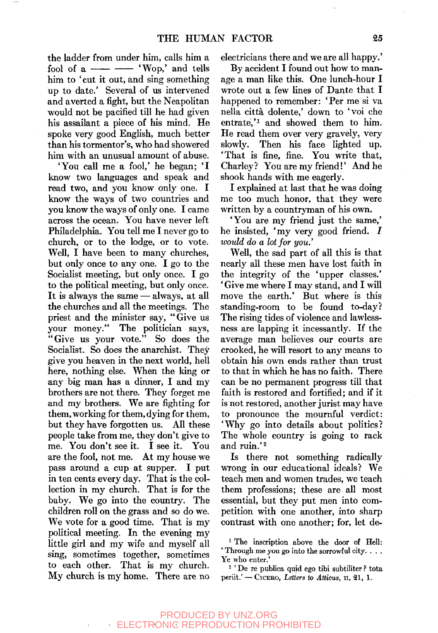the ladder from under him, calls him a fool of  $a \longrightarrow 'Wop,'$  and tells him to 'cut it out, and sing something up to date.' Several of us intervened and averted a fight, but the Neapolitan would not be pacified till he had given his assailant a piece of his mind. He spoke very good English, much better than his tormentor's, who had showered him with an unusual amount of abuse.

'You call me a fool,' he began; 'I know two languages and speak and read two, and you know only one. I know the ways of two countries and you know the ways of only one. I came across the ocean. You have never left Philadelphia. You tell me I never go to church, or to the lodge, or to vote. Well, I have been to many churches, but only once to any one. I go to the Socialist meeting, but only once. I go to the political meeting, but only once. It is always the same — always, at all the churches and all the meetings. The priest and the minister say, "Give us your money." The politician says, "Give us your vote." So does the Socialist. So does the anarchist. They give you heaven in the next world, hell here, nothing else. When the king or any big man has a dinner, I and my brothers are not there. They forget me and my brothers. We are fighting for them, working for them, dying for them, but they have forgotten us. All these people take from me, they don't give to me. You don't see it. I see it. You are the fool, not me. At my house we pass around a cup at supper. I put in ten cents every day. That is the col-In ten cents every day. That is the corbection in my church. That is for the children roll on the grass and so do we.  $W_{\text{c}}$  and for a good time. That is my we vote for a good time. That is my political meeting. In the evening my little girl and my wife and myself all sing, sometimes together, sometimes to each other. That is my church.<br>My church is my home. There are no

electricians there and we are all happy.'

By accident I found out how to manage a man like this. One lunch-hour I wrote out a few lines of Dante that I happened to remember: 'Per me si va nella citta dolente,' down to 'voi che entrate, $i^1$  and showed them to him. He read them over very gravely, very slowly. Then his face lighted up. 'That is fine, fine. You write that, Charley? You are my friend!' And he shook hands with me eagerly.

I explained at last that he was doing me too much honor, that they were written by a countryman of his own.

'You are my friend just the same,' he insisted, 'my very good friend. *I would do a lot for you.'* 

Well, the sad part of all this is that nearly all these men have lost faith in the integrity of the 'upper classes.' ' Give me where I may stand, and I will move the earth.' But where is this standing-room to be found to-day? The rising tides of violence and lawlessness are lapping it incessantly. If the average man believes our courts are crooked, he will resort to any means to obtain his own ends rather than trust to that in which he has no faith. There can be no permanent progress till that faith is restored and fortified; and if it is not restored, another jurist may have to pronounce the mournful verdict: 'Why go into details about politics? The whole country is going to rack and ruin.'<sup>2</sup>

Is there not something radically wrong in our educational ideals? We teach men and women trades, we teach them professions; these are all most essential, but they put men into competition with one another, into sharp contrast with one another; for, let de-

<sup>2</sup> ' De re publica quid ego tibi subtiliter ? tota periit.' — CICERO, *Letters to Atticus,* n, 21, 1.

<sup>&</sup>lt;sup>1</sup> The inscription above the door of Hell: ' Through me you go into the sorrowful city. . . . Ye who enter.'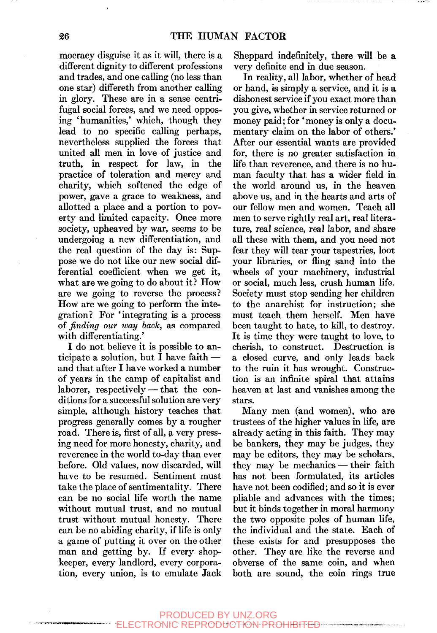mocracy disguise it as it will, there is a different dignity to different professions and trades, and one calling (no less than one star) differeth from another calling in glory. These are in a sense centrifugal social forces, and we need opposing 'humanities,' which, though they lead to no specific calling perhaps, nevertheless supplied the forces that united all men in love of justice and truth, in respect for law, in the practice of toleration and mercy and charity, which softened the edge of power, gave a grace to weakness, and allotted a place and a portion to poverty and limited capacity. Once more society, upheaved by war, seems to be undergoing a new differentiation, and the real question of the day is: Suppose we do not like our new social differential coefficient when we get it, what are we going to do about it? How are we going to reverse the process? How are we going to perform the integration? For 'integrating is a process of *finding our way back,* as compared with differentiating.'

I do not believe it is possible to anticipate a solution, but I have faith and that after I have worked a number of years in the camp of capitalist and laborer, respectively — that the conditions for a successful solution are very simple, although history teaches that progress generally comes by a rougher road. There is, first of all, a very pressing need for more honesty, charity, and reverence in the world to-day than ever before. Old values, now discarded, will have to be resumed. Sentiment must take the place of sentimentality. There can be no social life worth the name without mutual trust, and no mutual trust without mutual honesty. There can be no abiding charity, if life is only a game of putting it over on the other man and getting by. If every shopkeeper, every landlord, every corporation, every union, is to emulate Jack Sheppard indefinitely, there will be a very definite end in due season.

In reality, all labor, whether of head or hand, is simply a service, and it is a dishonest service if you exact more than you give, whether in service returned or money paid; for 'money is only a documentary claim on the labor of others.' After our essential wants are provided for, there is no greater satisfaction in life than reverence, and there is no human faculty that has a wider field in the world around us, in the heaven above us, and in the hearts and arts of our fellow men and women. Teach all men to serve rightly real art, real literature, real science, real labor, and share all these with them, and you need not fear they will tear your tapestries, loot your libraries, or fling sand into the wheels of your machinery, industrial or social, much less, crush human life. Society must stop sending her children to the anarchist for instruction; she must teach them herself. Men have been taught to hate, to kill, to destroy. It is time they were taught to love, to cherish, to construct. Destruction is a closed curve, and only leads back to the ruin it has wrought. Construction is an infinite spiral that attains heaven at last and vanishes among the stars.

Many men (and women), who are trustees of the higher values in life, are already acting in this faith. They may be bankers, they may be judges, they may be editors, they may be scholars, they may be mechanics — their faith has not been formulated, its articles have not been codified; and so it is ever pliable and advances with the times; but it binds together in moral harmony the two opposite poles of human life, the individual and the state. Each of these exists for and presupposes the other. They are like the reverse and obverse of the same coin, and when both are sound, the coin rings true